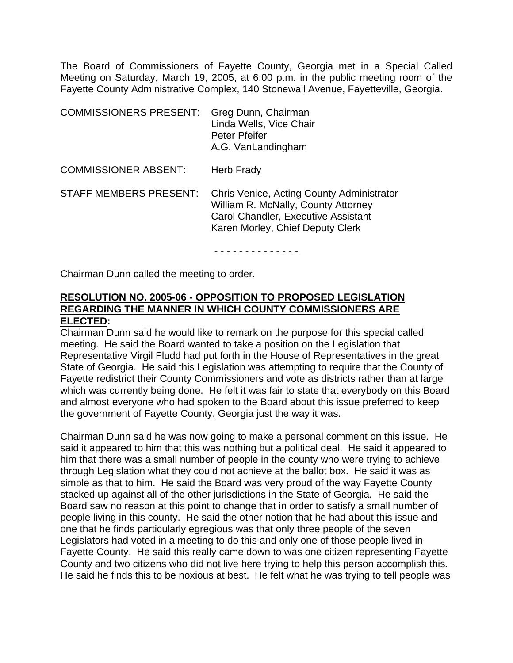The Board of Commissioners of Fayette County, Georgia met in a Special Called Meeting on Saturday, March 19, 2005, at 6:00 p.m. in the public meeting room of the Fayette County Administrative Complex, 140 Stonewall Avenue, Fayetteville, Georgia.

| <b>COMMISSIONERS PRESENT:</b> | Greg Dunn, Chairman<br>Linda Wells, Vice Chair<br>Peter Pfeifer<br>A.G. VanLandingham                                                                              |
|-------------------------------|--------------------------------------------------------------------------------------------------------------------------------------------------------------------|
| <b>COMMISSIONER ABSENT:</b>   | Herb Frady                                                                                                                                                         |
| <b>STAFF MEMBERS PRESENT:</b> | Chris Venice, Acting County Administrator<br>William R. McNally, County Attorney<br><b>Carol Chandler, Executive Assistant</b><br>Karen Morley, Chief Deputy Clerk |

- - - - - - - - - - - - - -

Chairman Dunn called the meeting to order.

## **RESOLUTION NO. 2005-06 - OPPOSITION TO PROPOSED LEGISLATION REGARDING THE MANNER IN WHICH COUNTY COMMISSIONERS ARE ELECTED:**

Chairman Dunn said he would like to remark on the purpose for this special called meeting. He said the Board wanted to take a position on the Legislation that Representative Virgil Fludd had put forth in the House of Representatives in the great State of Georgia. He said this Legislation was attempting to require that the County of Fayette redistrict their County Commissioners and vote as districts rather than at large which was currently being done. He felt it was fair to state that everybody on this Board and almost everyone who had spoken to the Board about this issue preferred to keep the government of Fayette County, Georgia just the way it was.

Chairman Dunn said he was now going to make a personal comment on this issue. He said it appeared to him that this was nothing but a political deal. He said it appeared to him that there was a small number of people in the county who were trying to achieve through Legislation what they could not achieve at the ballot box. He said it was as simple as that to him. He said the Board was very proud of the way Fayette County stacked up against all of the other jurisdictions in the State of Georgia. He said the Board saw no reason at this point to change that in order to satisfy a small number of people living in this county. He said the other notion that he had about this issue and one that he finds particularly egregious was that only three people of the seven Legislators had voted in a meeting to do this and only one of those people lived in Fayette County. He said this really came down to was one citizen representing Fayette County and two citizens who did not live here trying to help this person accomplish this. He said he finds this to be noxious at best. He felt what he was trying to tell people was